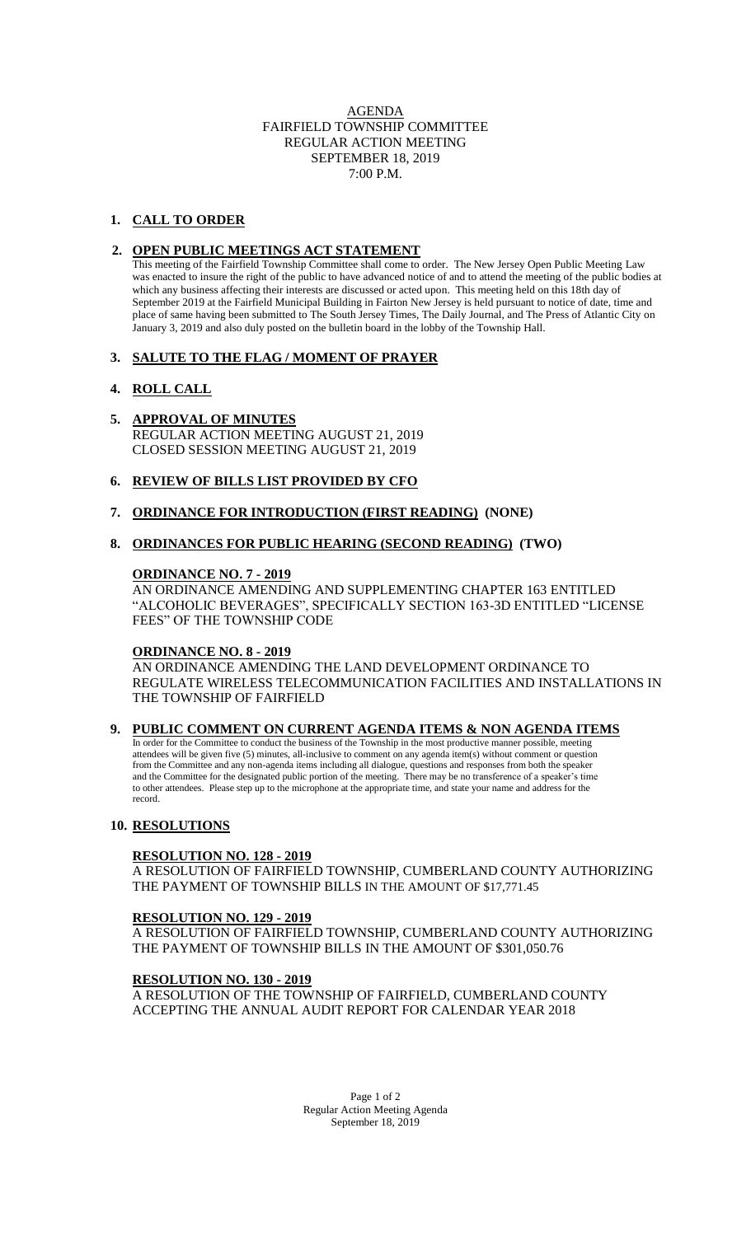### AGENDA FAIRFIELD TOWNSHIP COMMITTEE REGULAR ACTION MEETING SEPTEMBER 18, 2019 7:00 P.M.

# **1. CALL TO ORDER**

### **2. OPEN PUBLIC MEETINGS ACT STATEMENT**

This meeting of the Fairfield Township Committee shall come to order. The New Jersey Open Public Meeting Law was enacted to insure the right of the public to have advanced notice of and to attend the meeting of the public bodies at which any business affecting their interests are discussed or acted upon. This meeting held on this 18th day of September 2019 at the Fairfield Municipal Building in Fairton New Jersey is held pursuant to notice of date, time and place of same having been submitted to The South Jersey Times, The Daily Journal, and The Press of Atlantic City on January 3, 2019 and also duly posted on the bulletin board in the lobby of the Township Hall.

### **3. SALUTE TO THE FLAG / MOMENT OF PRAYER**

# **4. ROLL CALL**

# **5. APPROVAL OF MINUTES**

REGULAR ACTION MEETING AUGUST 21, 2019 CLOSED SESSION MEETING AUGUST 21, 2019

### **6. REVIEW OF BILLS LIST PROVIDED BY CFO**

**7. ORDINANCE FOR INTRODUCTION (FIRST READING) (NONE)**

#### **8. ORDINANCES FOR PUBLIC HEARING (SECOND READING) (TWO)**

### **ORDINANCE NO. 7 - 2019**

AN ORDINANCE AMENDING AND SUPPLEMENTING CHAPTER 163 ENTITLED "ALCOHOLIC BEVERAGES", SPECIFICALLY SECTION 163-3D ENTITLED "LICENSE FEES" OF THE TOWNSHIP CODE

### **ORDINANCE NO. 8 - 2019**

AN ORDINANCE AMENDING THE LAND DEVELOPMENT ORDINANCE TO REGULATE WIRELESS TELECOMMUNICATION FACILITIES AND INSTALLATIONS IN THE TOWNSHIP OF FAIRFIELD

#### **9. PUBLIC COMMENT ON CURRENT AGENDA ITEMS & NON AGENDA ITEMS**

 In order for the Committee to conduct the business of the Township in the most productive manner possible, meeting attendees will be given five (5) minutes, all-inclusive to comment on any agenda item(s) without comment or question from the Committee and any non-agenda items including all dialogue, questions and responses from both the speaker and the Committee for the designated public portion of the meeting. There may be no transference of a speaker's time to other attendees. Please step up to the microphone at the appropriate time, and state your name and address for the record.

#### **10. RESOLUTIONS**

#### **RESOLUTION NO. 128 - 2019**

A RESOLUTION OF FAIRFIELD TOWNSHIP, CUMBERLAND COUNTY AUTHORIZING THE PAYMENT OF TOWNSHIP BILLS IN THE AMOUNT OF \$17,771.45

#### **RESOLUTION NO. 129 - 2019**

A RESOLUTION OF FAIRFIELD TOWNSHIP, CUMBERLAND COUNTY AUTHORIZING THE PAYMENT OF TOWNSHIP BILLS IN THE AMOUNT OF \$301,050.76

#### **RESOLUTION NO. 130 - 2019**

A RESOLUTION OF THE TOWNSHIP OF FAIRFIELD, CUMBERLAND COUNTY ACCEPTING THE ANNUAL AUDIT REPORT FOR CALENDAR YEAR 2018

> Page 1 of 2 Regular Action Meeting Agenda September 18, 2019